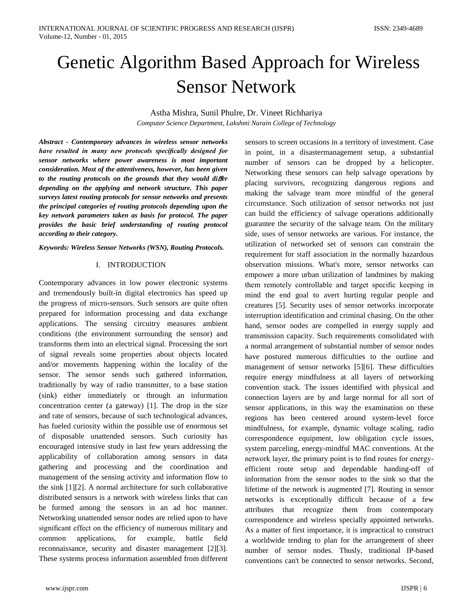# Genetic Algorithm Based Approach for Wireless Sensor Network

Astha Mishra, Sunil Phulre, Dr. Vineet Richhariya *Computer Science Department, Lakshmi Narain College of Technology*

*Abstract - Contemporary advances in wireless sensor networks have resulted in many new protocols specifically designed for sensor networks where power awareness is most important consideration. Most of the attentiveness, however, has been given to the routing protocols on the grounds that they would di*ff*er depending on the applying and network structure. This paper surveys latest routing protocols for sensor networks and presents the principal categories of routing protocols depending upon the key network parameters taken as basis for protocol. The paper provides the basic brief understanding of routing protocol according to their category.*

*Keywords: Wireless Sensor Networks (WSN), Routing Protocols.*

## I. INTRODUCTION

Contemporary advances in low power electronic systems and tremendously built-in digital electronics has speed up the progress of micro-sensors. Such sensors are quite often prepared for information processing and data exchange applications. The sensing circuitry measures ambient conditions (the environment surrounding the sensor) and transforms them into an electrical signal. Processing the sort of signal reveals some properties about objects located and/or movements happening within the locality of the sensor. The sensor sends such gathered information, traditionally by way of radio transmitter, to a base station (sink) either immediately or through an information concentration center (a gateway) [1]. The drop in the size and rate of sensors, because of such technological advances, has fueled curiosity within the possible use of enormous set of disposable unattended sensors. Such curiosity has encouraged intensive study in last few years addressing the applicability of collaboration among sensors in data gathering and processing and the coordination and management of the sensing activity and information flow to the sink [1][2]. A normal architecture for such collaborative distributed sensors is a network with wireless links that can be formed among the sensors in an ad hoc manner. Networking unattended sensor nodes are relied upon to have significant effect on the efficiency of numerous military and common applications, for example, battle field reconnaissance, security and disaster management [2][3]. These systems process information assembled from different

sensors to screen occasions in a territory of investment. Case in point, in a disastermanagement setup, a substantial number of sensors can be dropped by a helicopter. Networking these sensors can help salvage operations by placing survivors, recognizing dangerous regions and making the salvage team more mindful of the general circumstance. Such utilization of sensor networks not just can build the efficiency of salvage operations additionally guarantee the security of the salvage team. On the military side, uses of sensor networks are various. For instance, the utilization of networked set of sensors can constrain the requirement for staff association in the normally hazardous observation missions. What's more, sensor networks can empower a more urban utilization of landmines by making them remotely controllable and target specific keeping in mind the end goal to avert hurting regular people and creatures [5]. Security uses of sensor networks incorporate interruption identification and criminal chasing. On the other hand, sensor nodes are compelled in energy supply and transmission capacity. Such requirements consolidated with a normal arrangement of substantial number of sensor nodes have postured numerous difficulties to the outline and management of sensor networks [5][6]. These difficulties require energy mindfulness at all layers of networking convention stack. The issues identified with physical and connection layers are by and large normal for all sort of sensor applications, in this way the examination on these regions has been centered around system-level force mindfulness, for example, dynamic voltage scaling, radio correspondence equipment, low obligation cycle issues, system parceling, energy-mindful MAC conventions. At the network layer, the primary point is to find routes for energyefficient route setup and dependable handing-off of information from the sensor nodes to the sink so that the lifetime of the network is augmented [7]. Routing in sensor networks is exceptionally difficult because of a few attributes that recognize them from contemporary correspondence and wireless specially appointed networks. As a matter of first importance, it is impractical to construct a worldwide tending to plan for the arrangement of sheer number of sensor nodes. Thusly, traditional IP-based conventions can't be connected to sensor networks. Second,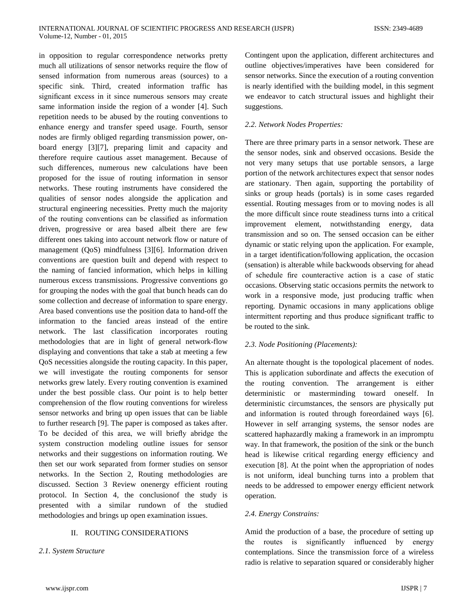in opposition to regular correspondence networks pretty much all utilizations of sensor networks require the flow of sensed information from numerous areas (sources) to a specific sink. Third, created information traffic has significant excess in it since numerous sensors may create same information inside the region of a wonder [4]. Such repetition needs to be abused by the routing conventions to enhance energy and transfer speed usage. Fourth, sensor nodes are firmly obliged regarding transmission power, onboard energy [3][7], preparing limit and capacity and therefore require cautious asset management. Because of such differences, numerous new calculations have been proposed for the issue of routing information in sensor networks. These routing instruments have considered the qualities of sensor nodes alongside the application and structural engineering necessities. Pretty much the majority of the routing conventions can be classified as information driven, progressive or area based albeit there are few different ones taking into account network flow or nature of management (QoS) mindfulness [3][6]. Information driven conventions are question built and depend with respect to the naming of fancied information, which helps in killing numerous excess transmissions. Progressive conventions go for grouping the nodes with the goal that bunch heads can do some collection and decrease of information to spare energy. Area based conventions use the position data to hand-off the information to the fancied areas instead of the entire network. The last classification incorporates routing methodologies that are in light of general network-flow displaying and conventions that take a stab at meeting a few QoS necessities alongside the routing capacity. In this paper, we will investigate the routing components for sensor networks grew lately. Every routing convention is examined under the best possible class. Our point is to help better comprehension of the flow routing conventions for wireless sensor networks and bring up open issues that can be liable to further research [9]. The paper is composed as takes after. To be decided of this area, we will briefly abridge the system construction modeling outline issues for sensor networks and their suggestions on information routing. We then set our work separated from former studies on sensor networks. In the Section 2, Routing methodologies are discussed. Section 3 Review onenergy efficient routing protocol. In Section 4, the conclusionof the study is presented with a similar rundown of the studied methodologies and brings up open examination issues.

#### II. ROUTING CONSIDERATIONS

*2.1. System Structure*

Contingent upon the application, different architectures and outline objectives/imperatives have been considered for sensor networks. Since the execution of a routing convention is nearly identified with the building model, in this segment we endeavor to catch structural issues and highlight their suggestions.

## *2.2. Network Nodes Properties:*

There are three primary parts in a sensor network. These are the sensor nodes, sink and observed occasions. Beside the not very many setups that use portable sensors, a large portion of the network architectures expect that sensor nodes are stationary. Then again, supporting the portability of sinks or group heads (portals) is in some cases regarded essential. Routing messages from or to moving nodes is all the more difficult since route steadiness turns into a critical improvement element, notwithstanding energy, data transmission and so on. The sensed occasion can be either dynamic or static relying upon the application. For example, in a target identification/following application, the occasion (sensation) is alterable while backwoods observing for ahead of schedule fire counteractive action is a case of static occasions. Observing static occasions permits the network to work in a responsive mode, just producing traffic when reporting. Dynamic occasions in many applications oblige intermittent reporting and thus produce significant traffic to be routed to the sink.

## *2.3. Node Positioning (Placements):*

An alternate thought is the topological placement of nodes. This is application subordinate and affects the execution of the routing convention. The arrangement is either deterministic or masterminding toward oneself. In deterministic circumstances, the sensors are physically put and information is routed through foreordained ways [6]. However in self arranging systems, the sensor nodes are scattered haphazardly making a framework in an impromptu way. In that framework, the position of the sink or the bunch head is likewise critical regarding energy efficiency and execution [8]. At the point when the appropriation of nodes is not uniform, ideal bunching turns into a problem that needs to be addressed to empower energy efficient network operation.

#### *2.4. Energy Constrains:*

Amid the production of a base, the procedure of setting up the routes is significantly influenced by energy contemplations. Since the transmission force of a wireless radio is relative to separation squared or considerably higher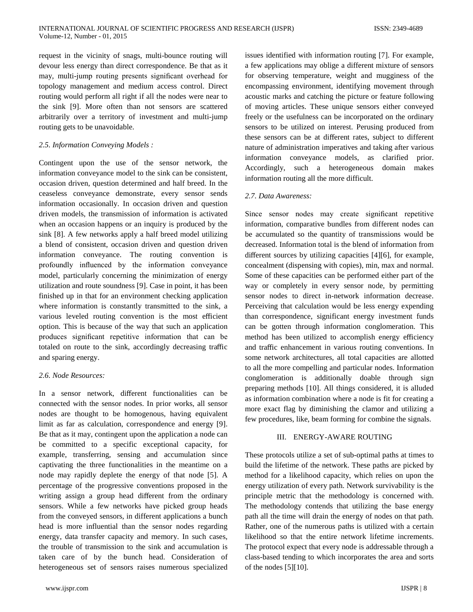request in the vicinity of snags, multi-bounce routing will devour less energy than direct correspondence. Be that as it may, multi-jump routing presents significant overhead for topology management and medium access control. Direct routing would perform all right if all the nodes were near to the sink [9]. More often than not sensors are scattered arbitrarily over a territory of investment and multi-jump routing gets to be unavoidable.

## *2.5. Information Conveying Models :*

Contingent upon the use of the sensor network, the information conveyance model to the sink can be consistent, occasion driven, question determined and half breed. In the ceaseless conveyance demonstrate, every sensor sends information occasionally. In occasion driven and question driven models, the transmission of information is activated when an occasion happens or an inquiry is produced by the sink [8]. A few networks apply a half breed model utilizing a blend of consistent, occasion driven and question driven information conveyance. The routing convention is profoundly influenced by the information conveyance model, particularly concerning the minimization of energy utilization and route soundness [9]. Case in point, it has been finished up in that for an environment checking application where information is constantly transmitted to the sink, a various leveled routing convention is the most efficient option. This is because of the way that such an application produces significant repetitive information that can be totaled on route to the sink, accordingly decreasing traffic and sparing energy.

# *2.6. Node Resources:*

In a sensor network, different functionalities can be connected with the sensor nodes. In prior works, all sensor nodes are thought to be homogenous, having equivalent limit as far as calculation, correspondence and energy [9]. Be that as it may, contingent upon the application a node can be committed to a specific exceptional capacity, for example, transferring, sensing and accumulation since captivating the three functionalities in the meantime on a node may rapidly deplete the energy of that node [5]. A percentage of the progressive conventions proposed in the writing assign a group head different from the ordinary sensors. While a few networks have picked group heads from the conveyed sensors, in different applications a bunch head is more influential than the sensor nodes regarding energy, data transfer capacity and memory. In such cases, the trouble of transmission to the sink and accumulation is taken care of by the bunch head. Consideration of heterogeneous set of sensors raises numerous specialized issues identified with information routing [7]. For example, a few applications may oblige a different mixture of sensors for observing temperature, weight and mugginess of the encompassing environment, identifying movement through acoustic marks and catching the picture or feature following of moving articles. These unique sensors either conveyed freely or the usefulness can be incorporated on the ordinary sensors to be utilized on interest. Perusing produced from these sensors can be at different rates, subject to different nature of administration imperatives and taking after various information conveyance models, as clarified prior. Accordingly, such a heterogeneous domain makes information routing all the more difficult.

# *2.7. Data Awareness:*

Since sensor nodes may create significant repetitive information, comparative bundles from different nodes can be accumulated so the quantity of transmissions would be decreased. Information total is the blend of information from different sources by utilizing capacities [4][6], for example, concealment (dispensing with copies), min, max and normal. Some of these capacities can be performed either part of the way or completely in every sensor node, by permitting sensor nodes to direct in-network information decrease. Perceiving that calculation would be less energy expending than correspondence, significant energy investment funds can be gotten through information conglomeration. This method has been utilized to accomplish energy efficiency and traffic enhancement in various routing conventions. In some network architectures, all total capacities are allotted to all the more compelling and particular nodes. Information conglomeration is additionally doable through sign preparing methods [10]. All things considered, it is alluded as information combination where a node is fit for creating a more exact flag by diminishing the clamor and utilizing a few procedures, like, beam forming for combine the signals.

## III. ENERGY-AWARE ROUTING

These protocols utilize a set of sub-optimal paths at times to build the lifetime of the network. These paths are picked by method for a likelihood capacity, which relies on upon the energy utilization of every path. Network survivability is the principle metric that the methodology is concerned with. The methodology contends that utilizing the base energy path all the time will drain the energy of nodes on that path. Rather, one of the numerous paths is utilized with a certain likelihood so that the entire network lifetime increments. The protocol expect that every node is addressable through a class-based tending to which incorporates the area and sorts of the nodes [5][10].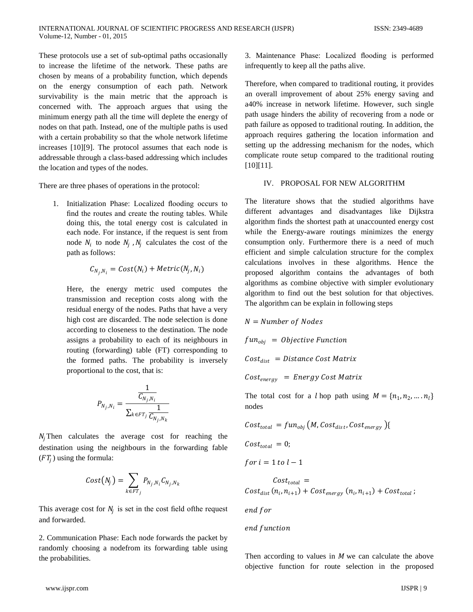These protocols use a set of sub-optimal paths occasionally to increase the lifetime of the network. These paths are chosen by means of a probability function, which depends on the energy consumption of each path. Network survivability is the main metric that the approach is concerned with. The approach argues that using the minimum energy path all the time will deplete the energy of nodes on that path. Instead, one of the multiple paths is used with a certain probability so that the whole network lifetime increases [10][9]. The protocol assumes that each node is addressable through a class-based addressing which includes the location and types of the nodes.

There are three phases of operations in the protocol:

1. Initialization Phase: Localized flooding occurs to find the routes and create the routing tables. While doing this, the total energy cost is calculated in each node. For instance, if the request is sent from node  $N_i$  to node  $N_i$ ,  $N_i$  calculates the cost of the path as follows:

$$
C_{N_j,N_i} = Cost(N_i) + Metric(N_j, N_i)
$$

Here, the energy metric used computes the transmission and reception costs along with the residual energy of the nodes. Paths that have a very high cost are discarded. The node selection is done according to closeness to the destination. The node assigns a probability to each of its neighbours in routing (forwarding) table (FT) corresponding to the formed paths. The probability is inversely proportional to the cost, that is:

$$
P_{N_j,N_i} = \frac{\frac{1}{C_{N_j,N_i}}}{\sum_{k \in FT_j} \frac{1}{C_{N_j,N_k}}}
$$

 $N_i$ Then calculates the average cost for reaching the destination using the neighbours in the forwarding fable  $(FT<sub>i</sub>)$  using the formula:

$$
Cost(N_j) = \sum_{k \in FT_j} P_{N_j, N_i} C_{N_j, N_k}
$$

This average cost for  $N_i$  is set in the cost field of the request and forwarded.

2. Communication Phase: Each node forwards the packet by randomly choosing a nodefrom its forwarding table using the probabilities.

3. Maintenance Phase: Localized flooding is performed infrequently to keep all the paths alive.

Therefore, when compared to traditional routing, it provides an overall improvement of about 25% energy saving and a40% increase in network lifetime. However, such single path usage hinders the ability of recovering from a node or path failure as opposed to traditional routing. In addition, the approach requires gathering the location information and setting up the addressing mechanism for the nodes, which complicate route setup compared to the traditional routing [10][11].

## IV. PROPOSAL FOR NEW ALGORITHM

The literature shows that the studied algorithms have different advantages and disadvantages like Dijkstra algorithm finds the shortest path at unaccounted energy cost while the Energy-aware routings minimizes the energy consumption only. Furthermore there is a need of much efficient and simple calculation structure for the complex calculations involves in these algorithms. Hence the proposed algorithm contains the advantages of both algorithms as combine objective with simpler evolutionary algorithm to find out the best solution for that objectives. The algorithm can be explain in following steps

 $N =$  Number of Nodes  $fun_{obj} = Objective Function$  $Cost_{dist}$  = Distance Cost Matrix  $Cost_{energy}$  = Energy Cost Matrix

The total cost for a *l* hop path using  $M = \{n_1, n_2, ..., n_l\}$ nodes

$$
Cost_{total} = fun_{obj}(M, Cost_{dist}, Cost_{energy})
$$

 $Cost_{total} = 0;$ 

$$
for i = 1 to l - 1
$$

$$
Cost_{total} =
$$
  

$$
Cost_{dist}(n_i, n_{i+1}) + Cost_{energy}(n_i, n_{i+1}) + Cost_{total};
$$

end for

Then according to values in  $M$  we can calculate the above objective function for route selection in the proposed